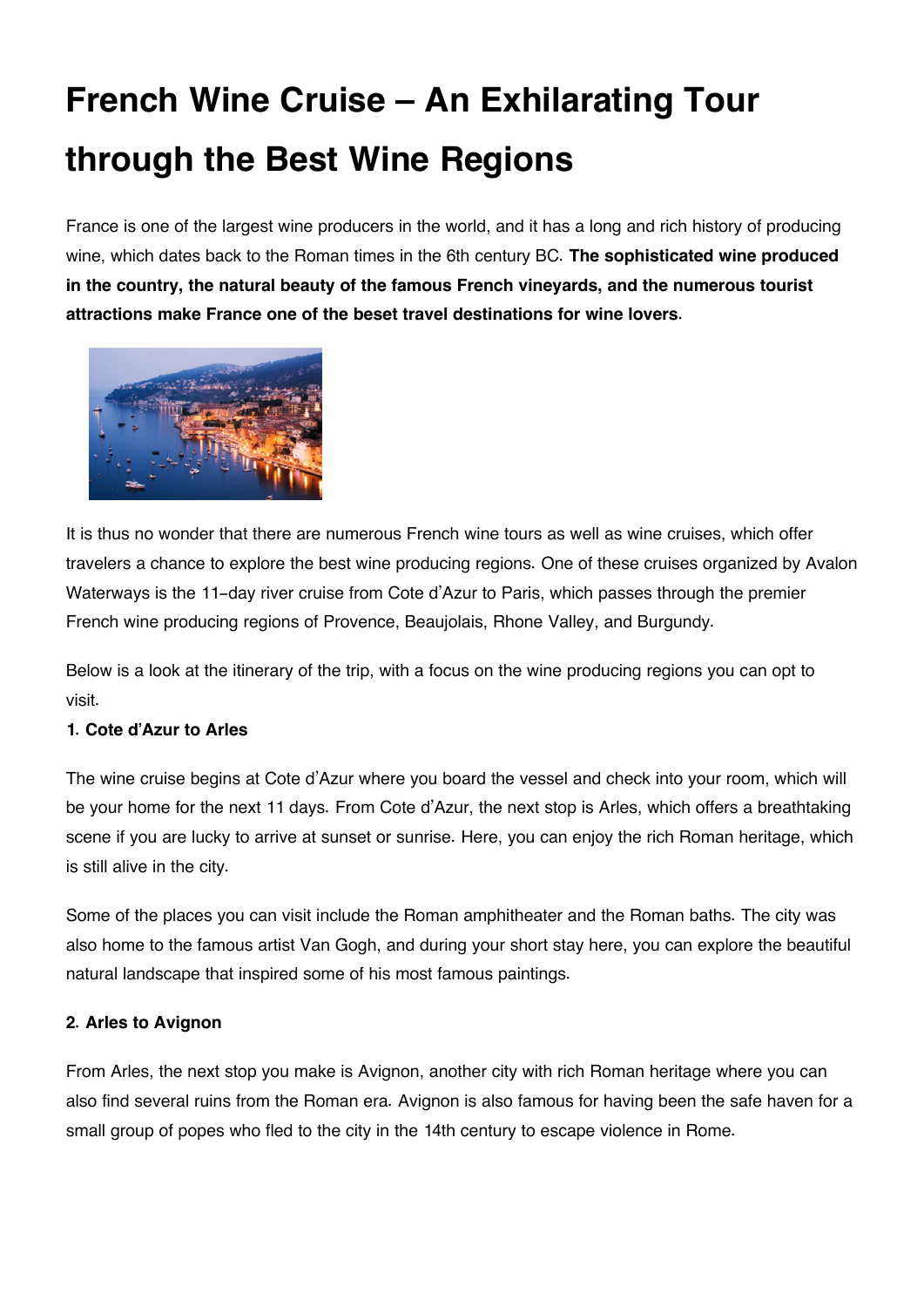# **French Wine Cruise – An Exhilarating Tour through the Best Wine Regions**

France is one of the largest wine producers in the world, and it has a long and rich history of producing wine, which dates back to the Roman times in the 6th century BC. **The sophisticated wine produced in the country, the natural beauty of the famous French vineyards, and the numerous tourist attractions make France one of the beset travel destinations for wine lovers.**



It is thus no wonder that there are numerous French wine tours as well as wine cruises, which offer travelers a chance to explore the best wine producing regions. One of these cruises organized by Avalon Waterways is the 11-day river cruise from Cote d'Azur to Paris, which passes through the premier French wine producing regions of Provence, Beaujolais, Rhone Valley, and Burgundy.

Below is a look at the itinerary of the trip, with a focus on the wine producing regions you can opt to visit.

## **1. Cote d'Azur to Arles**

The wine cruise begins at Cote d'Azur where you board the vessel and check into your room, which will be your home for the next 11 days. From Cote d'Azur, the next stop is Arles, which offers a breathtaking scene if you are lucky to arrive at sunset or sunrise. Here, you can enjoy the rich Roman heritage, which is still alive in the city.

Some of the places you can visit include the Roman amphitheater and the Roman baths. The city was also home to the famous artist Van Gogh, and during your short stay here, you can explore the beautiful natural landscape that inspired some of his most famous paintings.

## **2. Arles to Avignon**

From Arles, the next stop you make is Avignon, another city with rich Roman heritage where you can also find several ruins from the Roman era. Avignon is also famous for having been the safe haven for a small group of popes who fled to the city in the 14th century to escape violence in Rome.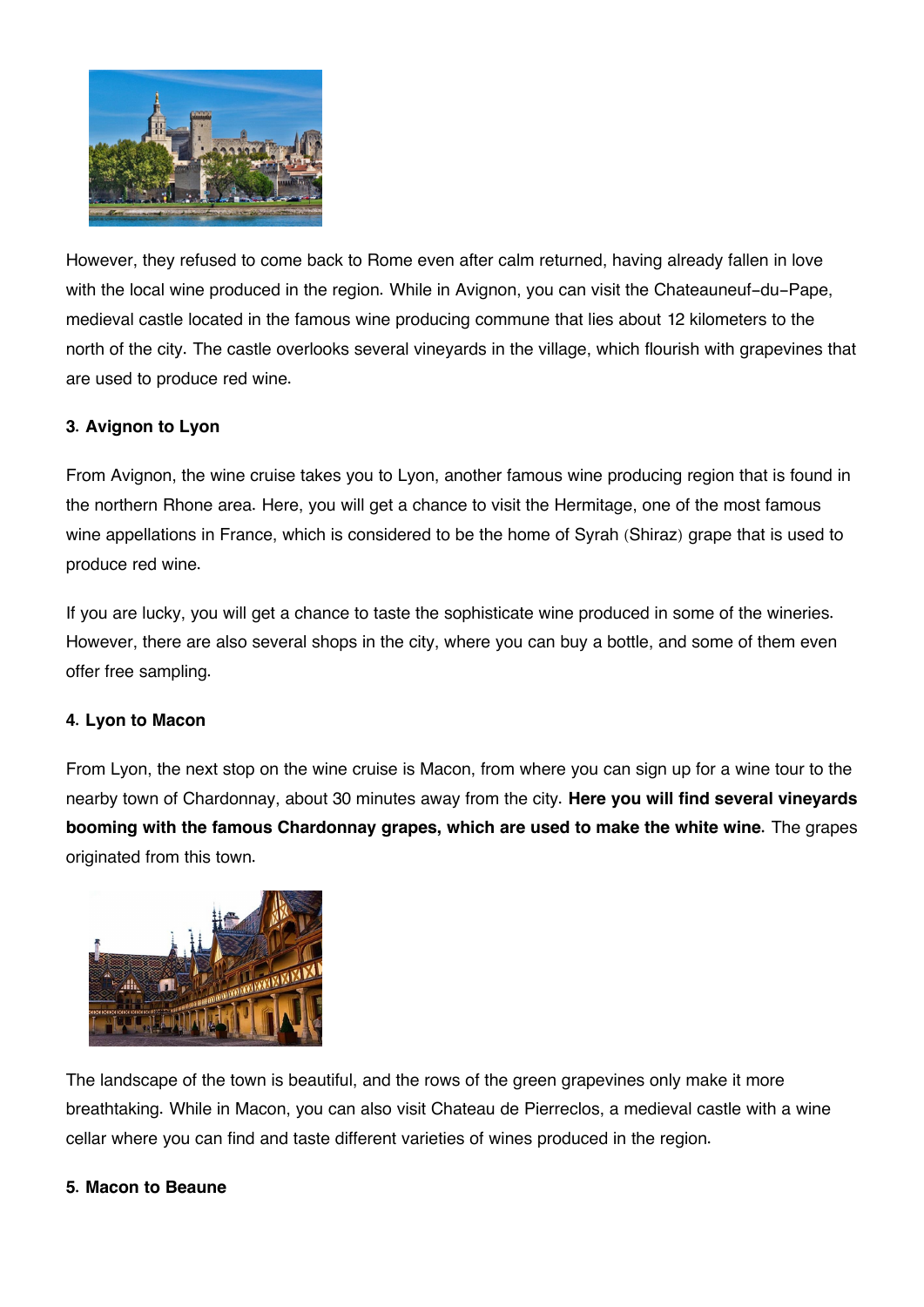

However, they refused to come back to Rome even after calm returned, having already fallen in love with the local wine produced in the region. While in Avignon, you can visit the Chateauneuf-du-Pape, medieval castle located in the famous wine producing commune that lies about 12 kilometers to the north of the city. The castle overlooks several vineyards in the village, which flourish with grapevines that are used to produce red wine.

## **3. Avignon to Lyon**

From Avignon, the wine cruise takes you to Lyon, another famous wine producing region that is found in the northern Rhone area. Here, you will get a chance to visit the Hermitage, one of the most famous wine appellations in France, which is considered to be the home of Syrah (Shiraz) grape that is used to produce red wine.

If you are lucky, you will get a chance to taste the sophisticate wine produced in some of the wineries. However, there are also several shops in the city, where you can buy a bottle, and some of them even offer free sampling.

#### **4. Lyon to Macon**

From Lyon, the next stop on the wine cruise is Macon, from where you can sign up for a wine tour to the nearby town of Chardonnay, about 30 minutes away from the city. **Here you will find several vineyards booming with the famous Chardonnay grapes, which are used to make the white wine.** The grapes originated from this town.



The landscape of the town is beautiful, and the rows of the green grapevines only make it more breathtaking. While in Macon, you can also visit Chateau de Pierreclos, a medieval castle with a wine cellar where you can find and taste different varieties of wines produced in the region.

#### **5. Macon to Beaune**